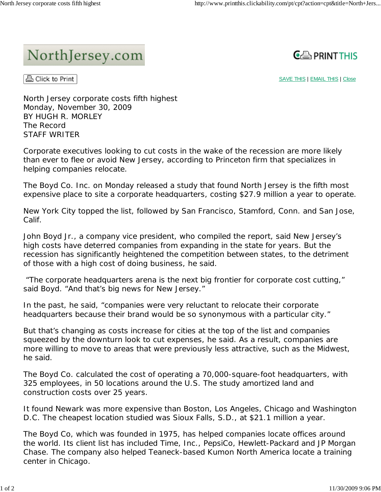## NorthJersey.com



**& Click to Print** 

SAVE THIS | EMAIL THIS | Close

North Jersey corporate costs fifth highest Monday, November 30, 2009 BY HUGH R. MORLEY The Record STAFF WRITER

Corporate executives looking to cut costs in the wake of the recession are more likely than ever to flee or avoid New Jersey, according to Princeton firm that specializes in helping companies relocate.

The Boyd Co. Inc. on Monday released a study that found North Jersey is the fifth most expensive place to site a corporate headquarters, costing \$27.9 million a year to operate.

New York City topped the list, followed by San Francisco, Stamford, Conn. and San Jose, Calif.

John Boyd Jr., a company vice president, who compiled the report, said New Jersey's high costs have deterred companies from expanding in the state for years. But the recession has significantly heightened the competition between states, to the detriment of those with a high cost of doing business, he said.

 "The corporate headquarters arena is the next big frontier for corporate cost cutting," said Boyd. "And that's big news for New Jersey."

In the past, he said, "companies were very reluctant to relocate their corporate headquarters because their brand would be so synonymous with a particular city."

But that's changing as costs increase for cities at the top of the list and companies squeezed by the downturn look to cut expenses, he said. As a result, companies are more willing to move to areas that were previously less attractive, such as the Midwest, he said.

The Boyd Co. calculated the cost of operating a 70,000-square-foot headquarters, with 325 employees, in 50 locations around the U.S. The study amortized land and construction costs over 25 years.

It found Newark was more expensive than Boston, Los Angeles, Chicago and Washington D.C. The cheapest location studied was Sioux Falls, S.D., at \$21.1 million a year.

The Boyd Co, which was founded in 1975, has helped companies locate offices around the world. Its client list has included Time, Inc., PepsiCo, Hewlett-Packard and JP Morgan Chase. The company also helped Teaneck-based Kumon North America locate a training center in Chicago.